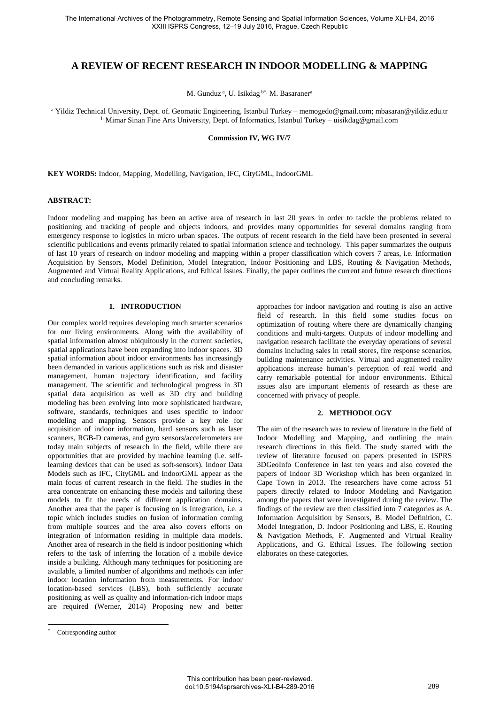# **A REVIEW OF RECENT RESEARCH IN INDOOR MODELLING & MAPPING**

M. Gunduz<sup>a</sup>, U. Isikdag b\*, M. Basaraner<sup>a</sup>

<sup>a</sup> Yildiz Technical University, Dept. of. Geomatic Engineering, Istanbul Turkey – memogedo@gmail.com; mbasaran@yildiz.edu.tr <sup>b</sup> Mimar Sinan Fine Arts University, Dept. of Informatics, Istanbul Turkey – [uisikdag@gmail.com](mailto:idowman@ge.ucl.ac.uk)

**Commission IV, WG IV/7**

**KEY WORDS:** Indoor, Mapping, Modelling, Navigation, IFC, CityGML, IndoorGML

# **ABSTRACT:**

Indoor modeling and mapping has been an active area of research in last 20 years in order to tackle the problems related to positioning and tracking of people and objects indoors, and provides many opportunities for several domains ranging from emergency response to logistics in micro urban spaces. The outputs of recent research in the field have been presented in several scientific publications and events primarily related to spatial information science and technology. This paper summarizes the outputs of last 10 years of research on indoor modeling and mapping within a proper classification which covers 7 areas, i.e. Information Acquisition by Sensors, Model Definition, Model Integration, Indoor Positioning and LBS, Routing & Navigation Methods, Augmented and Virtual Reality Applications, and Ethical Issues. Finally, the paper outlines the current and future research directions and concluding remarks.

# **1. INTRODUCTION**

Our complex world requires developing much smarter scenarios for our living environments. Along with the availability of spatial information almost ubiquitously in the current societies, spatial applications have been expanding into indoor spaces. 3D spatial information about indoor environments has increasingly been demanded in various applications such as risk and disaster management, human trajectory identification, and facility management. The scientific and technological progress in 3D spatial data acquisition as well as 3D city and building modeling has been evolving into more sophisticated hardware, software, standards, techniques and uses specific to indoor modeling and mapping. Sensors provide a key role for acquisition of indoor information, hard sensors such as laser scanners, RGB-D cameras, and gyro sensors/accelerometers are today main subjects of research in the field, while there are opportunities that are provided by machine learning (i.e. selflearning devices that can be used as soft-sensors). Indoor Data Models such as IFC, CityGML and IndoorGML appear as the main focus of current research in the field. The studies in the area concentrate on enhancing these models and tailoring these models to fit the needs of different application domains. Another area that the paper is focusing on is Integration, i.e. a topic which includes studies on fusion of information coming from multiple sources and the area also covers efforts on integration of information residing in multiple data models. Another area of research in the field is indoor positioning which refers to the task of inferring the location of a mobile device inside a building. Although many techniques for positioning are available, a limited number of algorithms and methods can infer indoor location information from measurements. For indoor location-based services (LBS), both sufficiently accurate positioning as well as quality and information-rich indoor maps are required (Werner, 2014) Proposing new and better

#### **2. METHODOLOGY**

The aim of the research was to review of literature in the field of Indoor Modelling and Mapping, and outlining the main research directions in this field. The study started with the review of literature focused on papers presented in ISPRS 3DGeoInfo Conference in last ten years and also covered the papers of Indoor 3D Workshop which has been organized in Cape Town in 2013. The researchers have come across 51 papers directly related to Indoor Modeling and Navigation among the papers that were investigated during the review. The findings of the review are then classified into 7 categories as A. Information Acquisition by Sensors, B. Model Definition, C. Model Integration, D. Indoor Positioning and LBS, E. Routing & Navigation Methods, F. Augmented and Virtual Reality Applications, and G. Ethical Issues. The following section elaborates on these categories.

l

approaches for indoor navigation and routing is also an active field of research. In this field some studies focus on optimization of routing where there are dynamically changing conditions and multi-targets. Outputs of indoor modelling and navigation research facilitate the everyday operations of several domains including sales in retail stores, fire response scenarios, building maintenance activities. Virtual and augmented reality applications increase human's perception of real world and carry remarkable potential for indoor environments. Ethical issues also are important elements of research as these are concerned with privacy of people.

Corresponding author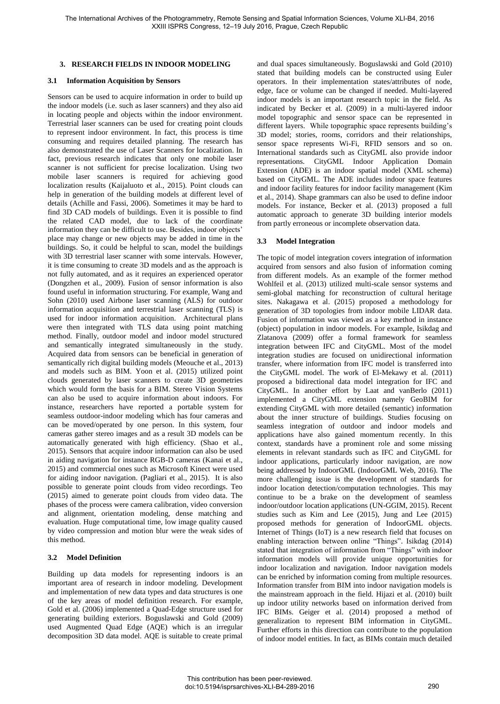# **3. RESEARCH FIELDS IN INDOOR MODELING**

#### **3.1 Information Acquisition by Sensors**

Sensors can be used to acquire information in order to build up the indoor models (i.e. such as laser scanners) and they also aid in locating people and objects within the indoor environment. Terrestrial laser scanners can be used for creating point clouds to represent indoor environment. In fact, this process is time consuming and requires detailed planning. The research has also demonstrated the use of Laser Scanners for localization. In fact, previous research indicates that only one mobile laser scanner is not sufficient for precise localization. Using two mobile laser scanners is required for achieving good localization results (Kaijaluoto et al., 2015). Point clouds can help in generation of the building models at different level of details (Achille and Fassi, 2006). Sometimes it may be hard to find 3D CAD models of buildings. Even it is possible to find the related CAD model, due to lack of the coordinate information they can be difficult to use. Besides, indoor objects' place may change or new objects may be added in time in the buildings. So, it could be helpful to scan, model the buildings with 3D terrestrial laser scanner with some intervals. However, it is time consuming to create 3D models and as the approach is not fully automated, and as it requires an experienced operator (Dongzhen et al., 2009). Fusion of sensor information is also found useful in information structuring. For example, Wang and Sohn (2010) used Airbone laser scanning (ALS) for outdoor information acquisition and terrestrial laser scanning (TLS) is used for indoor information acquisition. Architectural plans were then integrated with TLS data using point matching method. Finally, outdoor model and indoor model structured and semantically integrated simultaneously in the study. Acquired data from sensors can be beneficial in generation of semantically rich digital building models (Meouche et al., 2013) and models such as BIM. Yoon et al. (2015) utilized point clouds generated by laser scanners to create 3D geometries which would form the basis for a BIM. Stereo Vision Systems can also be used to acquire information about indoors. For instance, researchers have reported a portable system for seamless outdoor-indoor modeling which has four cameras and can be moved/operated by one person. In this system, four cameras gather stereo images and as a result 3D models can be automatically generated with high efficiency. (Shao et al., 2015). Sensors that acquire indoor information can also be used in aiding navigation for instance RGB-D cameras (Kanai et al., 2015) and commercial ones such as Microsoft Kinect were used for aiding indoor navigation. (Pagliari et al., 2015). It is also possible to generate point clouds from video recordings. Teo (2015) aimed to generate point clouds from video data. The phases of the process were camera calibration, video conversion and alignment, orientation modeling, dense matching and evaluation. Huge computational time, low image quality caused by video compression and motion blur were the weak sides of this method.

# **3.2 Model Definition**

Building up data models for representing indoors is an important area of research in indoor modeling. Development and implementation of new data types and data structures is one of the key areas of model definition research. For example, Gold et al. (2006) implemented a Quad-Edge structure used for generating building exteriors. Boguslawski and Gold (2009) used Augmented Quad Edge (AQE) which is an irregular decomposition 3D data model. AQE is suitable to create primal and dual spaces simultaneously. Boguslawski and Gold (2010) stated that building models can be constructed using Euler operators. In their implementation states/attributes of node, edge, face or volume can be changed if needed. Multi-layered indoor models is an important research topic in the field. As indicated by Becker et al. (2009) in a multi-layered indoor model topographic and sensor space can be represented in different layers. While topographic space represents building's 3D model; stories, rooms, corridors and their relationships, sensor space represents Wi-Fi, RFID sensors and so on. International standards such as CityGML also provide indoor representations. CityGML Indoor Application Domain Extension (ADE) is an indoor spatial model (XML schema) based on CityGML. The ADE includes indoor space features and indoor facility features for indoor facility management (Kim et al., 2014). Shape grammars can also be used to define indoor models. For instance, Becker et al. (2013) proposed a full automatic approach to generate 3D building interior models from partly erroneous or incomplete observation data.

#### **3.3 Model Integration**

The topic of model integration covers integration of information acquired from sensors and also fusion of information coming from different models. As an example of the former method Wohlfeil et al. (2013) utilized multi-scale sensor systems and semi-global matching for reconstruction of cultural heritage sites. Nakagawa et al. (2015) proposed a methodology for generation of 3D topologies from indoor mobile LIDAR data. Fusion of information was viewed as a key method in instance (object) population in indoor models. For example, Isikdag and Zlatanova (2009) offer a formal framework for seamless integration between IFC and CityGML. Most of the model integration studies are focused on unidirectional information transfer, where information from IFC model is transferred into the CityGML model. The work of El-Mekawy et al. (2011) proposed a bidirectional data model integration for IFC and CityGML. In another effort by Laat and vanBerlo (2011) implemented a CityGML extension namely GeoBIM for extending CityGML with more detailed (semantic) information about the inner structure of buildings. Studies focusing on seamless integration of outdoor and indoor models and applications have also gained momentum recently. In this context, standards have a prominent role and some missing elements in relevant standards such as IFC and CityGML for indoor applications, particularly indoor navigation, are now being addressed by IndoorGML (IndoorGML Web, 2016). The more challenging issue is the development of standards for indoor location detection/computation technologies. This may continue to be a brake on the development of seamless indoor/outdoor location applications (UN-GGIM, 2015). Recent studies such as Kim and Lee (2015), Jung and Lee (2015) proposed methods for generation of IndoorGML objects. Internet of Things (IoT) is a new research field that focuses on enabling interaction between online "Things". Isikdag (2014) stated that integration of information from "Things" with indoor information models will provide unique opportunities for indoor localization and navigation. Indoor navigation models can be enriched by information coming from multiple resources. Information transfer from BIM into indoor navigation models is the mainstream approach in the field. Hijazi et al. (2010) built up indoor utility networks based on information derived from IFC BIMs. Geiger et al. (2014) proposed a method of generalization to represent BIM information in CityGML. Further efforts in this direction can contribute to the population of indoor model entities. In fact, as BIMs contain much detailed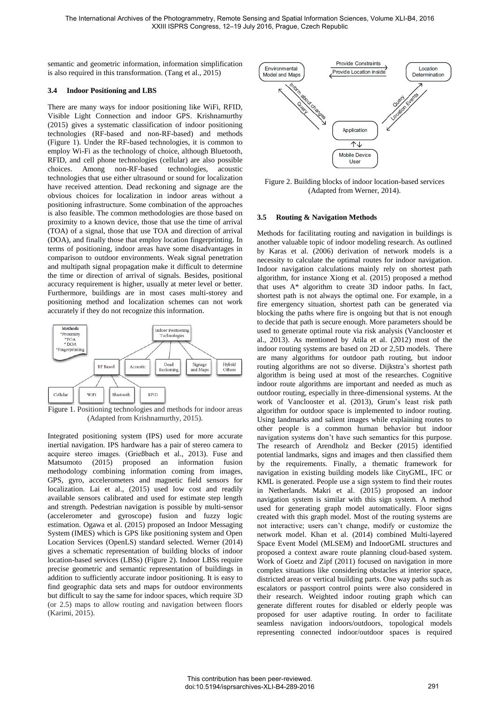semantic and geometric information, information simplification is also required in this transformation. (Tang et al., 2015)

# **3.4 Indoor Positioning and LBS**

There are many ways for indoor positioning like WiFi, RFID, Visible Light Connection and indoor GPS. Krishnamurthy (2015) gives a systematic classification of indoor positioning technologies (RF-based and non-RF-based) and methods (Figure 1). Under the RF-based technologies, it is common to employ Wi-Fi as the technology of choice, although Bluetooth, RFID, and cell phone technologies (cellular) are also possible choices. Among non-RF-based technologies, acoustic technologies that use either ultrasound or sound for localization have received attention. Dead reckoning and signage are the obvious choices for localization in indoor areas without a positioning infrastructure. Some combination of the approaches is also feasible. The common methodologies are those based on proximity to a known device, those that use the time of arrival (TOA) of a signal, those that use TOA and direction of arrival (DOA), and finally those that employ location fingerprinting. In terms of positioning, indoor areas have some disadvantages in comparison to outdoor environments. Weak signal penetration and multipath signal propagation make it difficult to determine the time or direction of arrival of signals. Besides, positional accuracy requirement is higher, usually at meter level or better. Furthermore, buildings are in most cases multi-storey and positioning method and localization schemes can not work accurately if they do not recognize this information.



Figure 1. Positioning technologies and methods for indoor areas (Adapted from Krishnamurthy, 2015).

Integrated positioning system (IPS) used for more accurate inertial navigation. IPS hardware has a pair of stereo camera to acquire stereo images. (Grießbach et al., 2013). Fuse and Matsumoto (2015) proposed an information fusion methodology combining information coming from images, GPS, gyro, accelerometers and magnetic field sensors for localization. Lai et al., (2015) used low cost and readily available sensors calibrated and used for estimate step length and strength. Pedestrian navigation is possible by multi-sensor (accelerometer and gyroscope) fusion and fuzzy logic estimation. Ogawa et al. (2015) proposed an Indoor Messaging System (IMES) which is GPS like positioning system and Open Location Services (OpenLS) standard selected. Werner (2014) gives a schematic representation of building blocks of indoor location-based services (LBSs) (Figure 2). Indoor LBSs require precise geometric and semantic representation of buildings in addition to sufficiently accurate indoor positioning. It is easy to find geographic data sets and maps for outdoor environments but difficult to say the same for indoor spaces, which require 3D (or 2.5) maps to allow routing and navigation between floors (Karimi, 2015).



Figure 2. Building blocks of indoor location-based services (Adapted from Werner, 2014).

# **3.5 Routing & Navigation Methods**

Methods for facilitating routing and navigation in buildings is another valuable topic of indoor modeling research. As outlined by Karas et al. (2006) derivation of network models is a necessity to calculate the optimal routes for indoor navigation. Indoor navigation calculations mainly rely on shortest path algorithm, for instance Xiong et al. (2015) proposed a method that uses A\* algorithm to create 3D indoor paths. In fact, shortest path is not always the optimal one. For example, in a fire emergency situation, shortest path can be generated via blocking the paths where fire is ongoing but that is not enough to decide that path is secure enough. More parameters should be used to generate optimal route via risk analysis (Vanclooster et al., 2013). As mentioned by Atila et al. (2012) most of the indoor routing systems are based on 2D or 2,5D models. There are many algorithms for outdoor path routing, but indoor routing algorithms are not so diverse. Dijkstra's shortest path algorithm is being used at most of the researches. Cognitive indoor route algorithms are important and needed as much as outdoor routing, especially in three-dimensional systems. At the work of Vanclooster et al. (2013), Grum's least risk path algorithm for outdoor space is implemented to indoor routing. Using landmarks and salient images while explaining routes to other people is a common human behavior but indoor navigation systems don't have such semantics for this purpose. The research of Arendholz and Becker (2015) identified potential landmarks, signs and images and then classified them by the requirements. Finally, a thematic framework for navigation in existing building models like CityGML, IFC or KML is generated. People use a sign system to find their routes in Netherlands. Makri et al. (2015) proposed an indoor navigation system is similar with this sign system. A method used for generating graph model automatically. Floor signs created with this graph model. Most of the routing systems are not interactive; users can't change, modify or customize the network model. Khan et al. (2014) combined Multi-layered Space Event Model (MLSEM) and IndoorGML structures and proposed a context aware route planning cloud-based system. Work of Goetz and Zipf (2011) focused on navigation in more complex situations like considering obstacles at interior space, districted areas or vertical building parts. One way paths such as escalators or passport control points were also considered in their research. Weighted indoor routing graph which can generate different routes for disabled or elderly people was proposed for user adaptive routing. In order to facilitate seamless navigation indoors/outdoors, topological models representing connected indoor/outdoor spaces is required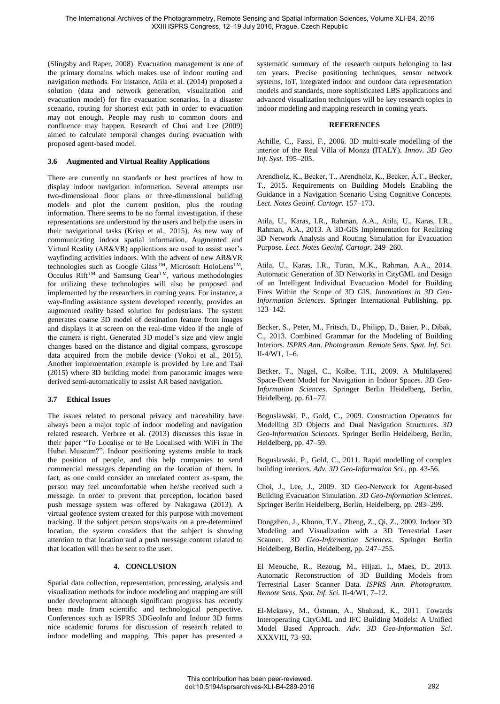(Slingsby and Raper, 2008). Evacuation management is one of the primary domains which makes use of indoor routing and navigation methods. For instance, Atila et al. (2014) proposed a solution (data and network generation, visualization and evacuation model) for fire evacuation scenarios. In a disaster scenario, routing for shortest exit path in order to evacuation may not enough. People may rush to common doors and confluence may happen. Research of Choi and Lee (2009) aimed to calculate temporal changes during evacuation with proposed agent-based model.

# **3.6 Augmented and Virtual Reality Applications**

There are currently no standards or best practices of how to display indoor navigation information. Several attempts use two-dimensional floor plans or three-dimensional building models and plot the current position, plus the routing information. There seems to be no formal investigation, if these representations are understood by the users and help the users in their navigational tasks (Krisp et al., 2015). As new way of communicating indoor spatial information, Augmented and Virtual Reality (AR&VR) applications are used to assist user's wayfinding activities indoors. With the advent of new AR&VR technologies such as Google GlassTM, Microsoft HoloLensTM, Occulus Rift<sup>TM</sup> and Samsung Gear<sup>TM</sup>, various methodologies for utilizing these technologies will also be proposed and implemented by the researchers in coming years. For instance, a way-finding assistance system developed recently, provides an augmented reality based solution for pedestrians. The system generates coarse 3D model of destination feature from images and displays it at screen on the real-time video if the angle of the camera is right. Generated 3D model's size and view angle changes based on the distance and digital compass, gyroscope data acquired from the mobile device (Yokoi et al., 2015). Another implementation example is provided by Lee and Tsai (2015) where 3D building model from panoramic images were derived semi-automatically to assist AR based navigation.

# **3.7 Ethical Issues**

The issues related to personal privacy and traceability have always been a major topic of indoor modeling and navigation related research. Verbree et al. (2013) discusses this issue in their paper "To Localise or to Be Localised with WiFi in The Hubei Museum?". Indoor positioning systems enable to track the position of people, and this help companies to send commercial messages depending on the location of them. In fact, as one could consider an unrelated content as spam, the person may feel uncomfortable when he/she received such a message. In order to prevent that perception, location based push message system was offered by Nakagawa (2013). A virtual geofence system created for this purpose with movement tracking. If the subject person stops/waits on a pre-determined location, the system considers that the subject is showing attention to that location and a push message content related to that location will then be sent to the user.

#### **4. CONCLUSION**

Spatial data collection, representation, processing, analysis and visualization methods for indoor modeling and mapping are still under development although significant progress has recently been made from scientific and technological perspective. Conferences such as ISPRS 3DGeoInfo and Indoor 3D forms nice academic forums for discussion of research related to indoor modelling and mapping. This paper has presented a systematic summary of the research outputs belonging to last ten years. Precise positioning techniques, sensor network systems, IoT, integrated indoor and outdoor data representation models and standards, more sophisticated LBS applications and advanced visualization techniques will be key research topics in indoor modeling and mapping research in coming years.

# **REFERENCES**

Achille, C., Fassi, F., 2006. 3D multi-scale modelling of the interior of the Real Villa of Monza (ITALY). *Innov. 3D Geo Inf. Syst.* 195–205.

Arendholz, K., Becker, T., Arendholz, K., Becker, Á.T., Becker, T., 2015. Requirements on Building Models Enabling the Guidance in a Navigation Scenario Using Cognitive Concepts. *Lect. Notes Geoinf. Cartogr.* 157–173.

Atila, U., Karas, I.R., Rahman, A.A., Atila, U., Karas, I.R., Rahman, A.A., 2013. A 3D-GIS Implementation for Realizing 3D Network Analysis and Routing Simulation for Evacuation Purpose. *Lect. Notes Geoinf. Cartogr.* 249–260.

Atila, U., Karas, I.R., Turan, M.K., Rahman, A.A., 2014. Automatic Generation of 3D Networks in CityGML and Design of an Intelligent Individual Evacuation Model for Building Fires Within the Scope of 3D GIS. *Innovations in 3D Geo-Information Sciences.* Springer International Publishing, pp. 123–142.

Becker, S., Peter, M., Fritsch, D., Philipp, D., Baier, P., Dibak, C., 2013. Combined Grammar for the Modeling of Building Interiors. *ISPRS Ann. Photogramm. Remote Sens. Spat. Inf.* Sci. II-4/W1, 1–6.

Becker, T., Nagel, C., Kolbe, T.H., 2009. A Multilayered Space-Event Model for Navigation in Indoor Spaces. *3D Geo-Information Sciences*. Springer Berlin Heidelberg, Berlin, Heidelberg, pp. 61–77.

Boguslawski, P., Gold, C., 2009. Construction Operators for Modelling 3D Objects and Dual Navigation Structures. *3D Geo-Information Sciences*. Springer Berlin Heidelberg, Berlin, Heidelberg, pp. 47–59.

Boguslawski, P., Gold, C., 2011. Rapid modelling of complex building interiors. *Adv. 3D Geo-Information Sci*., pp. 43-56.

Choi, J., Lee, J., 2009. 3D Geo-Network for Agent-based Building Evacuation Simulation. *3D Geo-Information Sciences*. Springer Berlin Heidelberg, Berlin, Heidelberg, pp. 283–299.

Dongzhen, J., Khoon, T.Y., Zheng, Z., Qi, Z., 2009. Indoor 3D Modeling and Visualization with a 3D Terrestrial Laser Scanner. *3D Geo-Information Sciences*. Springer Berlin Heidelberg, Berlin, Heidelberg, pp. 247–255.

El Meouche, R., Rezoug, M., Hijazi, I., Maes, D., 2013. Automatic Reconstruction of 3D Building Models from Terrestrial Laser Scanner Data. *ISPRS Ann. Photogramm. Remote Sens. Spat. Inf. Sci.* II-4/W1, 7–12.

El-Mekawy, M., Östman, A., Shahzad, K., 2011. Towards Interoperating CityGML and IFC Building Models: A Unified Model Based Approach. *Adv. 3D Geo-Information Sci*. XXXVIII, 73–93.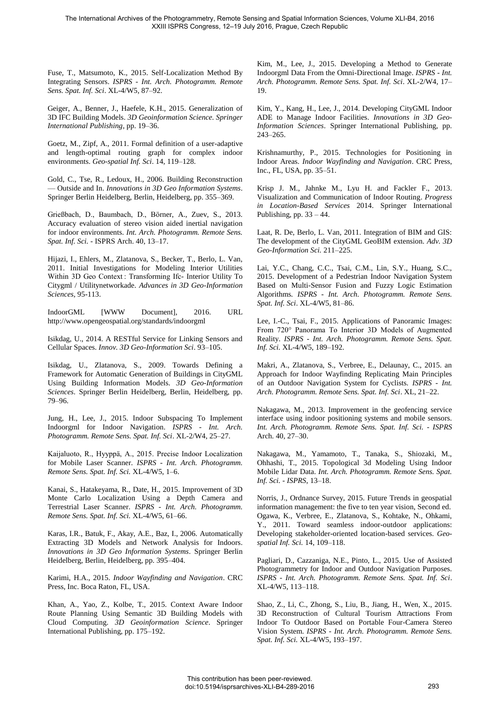Fuse, T., Matsumoto, K., 2015. Self-Localization Method By Integrating Sensors. *ISPRS - Int. Arch. Photogramm. Remote Sens. Spat. Inf. Sci*. XL-4/W5, 87–92.

Geiger, A., Benner, J., Haefele, K.H., 2015. Generalization of 3D IFC Building Models. *3D Geoinformation Science. Springer International Publishing*, pp. 19–36.

Goetz, M., Zipf, A., 2011. Formal definition of a user-adaptive and length-optimal routing graph for complex indoor environments. *Geo-spatial Inf. Sci*. 14, 119–128.

Gold, C., Tse, R., Ledoux, H., 2006. Building Reconstruction — Outside and In. *Innovations in 3D Geo Information Systems*. Springer Berlin Heidelberg, Berlin, Heidelberg, pp. 355–369.

Grießbach, D., Baumbach, D., Börner, A., Zuev, S., 2013. Accuracy evaluation of stereo vision aided inertial navigation for indoor environments. *Int. Arch. Photogramm. Remote Sens. Spat. Inf. Sci.* - ISPRS Arch. 40, 13–17.

Hijazi, I., Ehlers, M., Zlatanova, S., Becker, T., Berlo, L. Van, 2011. Initial Investigations for Modeling Interior Utilities Within 3D Geo Context : Transforming Ifc- Interior Utility To Citygml / Utilitynetworkade. *Advances in 3D Geo-Information Sciences*, 95-113.

IndoorGML [WWW Document], 2016. URL http://www.opengeospatial.org/standards/indoorgml

Isikdag, U., 2014. A RESTful Service for Linking Sensors and Cellular Spaces. *Innov. 3D Geo-Information Sci*. 93–105.

Isikdag, U., Zlatanova, S., 2009. Towards Defining a Framework for Automatic Generation of Buildings in CityGML Using Building Information Models. *3D Geo-Information Sciences*. Springer Berlin Heidelberg, Berlin, Heidelberg, pp. 79–96.

Jung, H., Lee, J., 2015. Indoor Subspacing To Implement Indoorgml for Indoor Navigation. *ISPRS - Int. Arch. Photogramm. Remote Sens. Spat. Inf. Sci*. XL-2/W4, 25–27.

Kaijaluoto, R., Hyyppä, A., 2015. Precise Indoor Localization for Mobile Laser Scanner. *ISPRS - Int. Arch. Photogramm. Remote Sens. Spat. Inf. Sci.* XL-4/W5, 1–6.

Kanai, S., Hatakeyama, R., Date, H., 2015. Improvement of 3D Monte Carlo Localization Using a Depth Camera and Terrestrial Laser Scanner. *ISPRS - Int. Arch. Photogramm. Remote Sens. Spat. Inf. Sci.* XL-4/W5, 61–66.

Karas, I.R., Batuk, F., Akay, A.E., Baz, I., 2006. Automatically Extracting 3D Models and Network Analysis for Indoors. *Innovations in 3D Geo Information Systems*. Springer Berlin Heidelberg, Berlin, Heidelberg, pp. 395–404.

Karimi, H.A., 2015. *Indoor Wayfinding and Navigation*. CRC Press, Inc. Boca Raton, FL, USA.

Khan, A., Yao, Z., Kolbe, T., 2015. Context Aware Indoor Route Planning Using Semantic 3D Building Models with Cloud Computing. *3D Geoinformation Science*. Springer International Publishing, pp. 175–192.

Kim, M., Lee, J., 2015. Developing a Method to Generate Indoorgml Data From the Omni-Directional Image. *ISPRS - Int. Arch. Photogramm. Remote Sens. Spat. Inf. Sci*. XL-2/W4, 17– 19.

Kim, Y., Kang, H., Lee, J., 2014. Developing CityGML Indoor ADE to Manage Indoor Facilities. *Innovations in 3D Geo-Information Sciences*. Springer International Publishing, pp. 243–265.

Krishnamurthy, P., 2015. Technologies for Positioning in Indoor Areas. *Indoor Wayfinding and Navigation*. CRC Press, Inc., FL, USA, pp. 35–51.

Krisp J. M., Jahnke M., Lyu H. and Fackler F., 2013. Visualization and Communication of Indoor Routing. *Progress in Location-Based Services* 2014. Springer International Publishing, pp.  $33 - 44$ .

Laat, R. De, Berlo, L. Van, 2011. Integration of BIM and GIS: The development of the CityGML GeoBIM extension. *Adv. 3D Geo-Information Sci.* 211–225.

Lai, Y.C., Chang, C.C., Tsai, C.M., Lin, S.Y., Huang, S.C., 2015. Development of a Pedestrian Indoor Navigation System Based on Multi-Sensor Fusion and Fuzzy Logic Estimation Algorithms*. ISPRS - Int. Arch. Photogramm. Remote Sens. Spat. Inf. Sci*. XL-4/W5, 81–86.

Lee, I.-C., Tsai, F., 2015. Applications of Panoramic Images: From 720° Panorama To Interior 3D Models of Augmented Reality. *ISPRS - Int. Arch. Photogramm. Remote Sens. Spat. Inf. Sci.* XL-4/W5, 189–192.

Makri, A., Zlatanova, S., Verbree, E., Delaunay, C., 2015. an Approach for Indoor Wayfinding Replicating Main Principles of an Outdoor Navigation System for Cyclists*. ISPRS - Int. Arch. Photogramm. Remote Sens. Spat. Inf. Sci*. XL, 21–22.

Nakagawa, M., 2013. Improvement in the geofencing service interface using indoor positioning systems and mobile sensors. *Int. Arch. Photogramm. Remote Sens. Spat. Inf. Sci. - ISPRS* Arch. 40, 27–30.

Nakagawa, M., Yamamoto, T., Tanaka, S., Shiozaki, M., Ohhashi, T., 2015. Topological 3d Modeling Using Indoor Mobile Lidar Data. *Int. Arch. Photogramm. Remote Sens. Spat. Inf. Sci. - ISPRS*, 13–18.

Norris, J., Ordnance Survey, 2015. Future Trends in geospatial information management: the five to ten year vision, Second ed. Ogawa, K., Verbree, E., Zlatanova, S., Kohtake, N., Ohkami, Y., 2011. Toward seamless indoor-outdoor applications: Developing stakeholder-oriented location-based services. *Geospatial Inf. Sci.* 14, 109–118.

Pagliari, D., Cazzaniga, N.E., Pinto, L., 2015. Use of Assisted Photogrammetry for Indoor and Outdoor Navigation Purposes. *ISPRS - Int. Arch. Photogramm. Remote Sens. Spat. Inf. Sci*. XL-4/W5, 113–118.

Shao, Z., Li, C., Zhong, S., Liu, B., Jiang, H., Wen, X., 2015. 3D Reconstruction of Cultural Tourism Attractions From Indoor To Outdoor Based on Portable Four-Camera Stereo Vision System. *ISPRS - Int. Arch. Photogramm. Remote Sens. Spat. Inf. Sci.* XL-4/W5, 193–197.